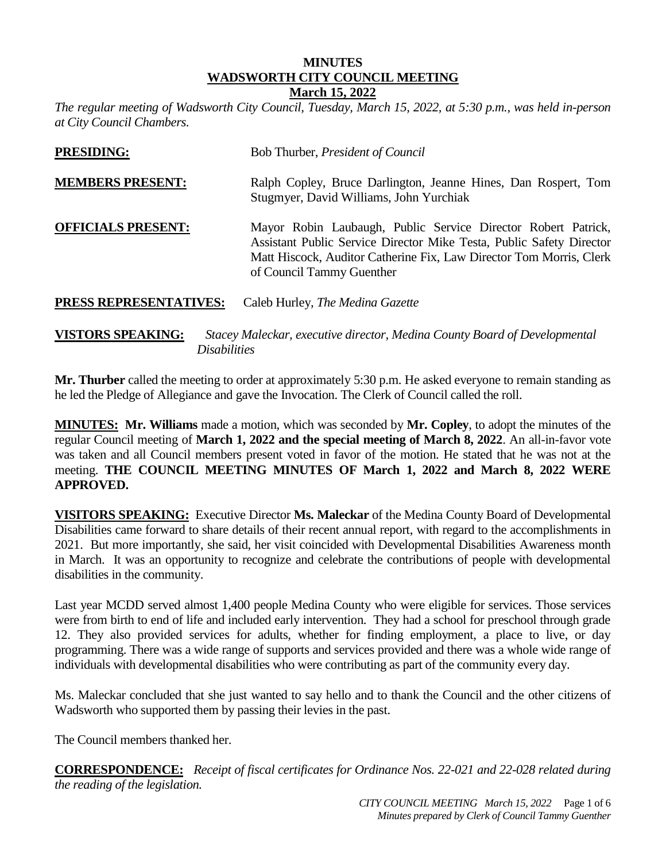# **MINUTES WADSWORTH CITY COUNCIL MEETING**

#### **March 15, 2022**

*The regular meeting of Wadsworth City Council, Tuesday, March 15, 2022, at 5:30 p.m., was held in-person at City Council Chambers.* 

| <b>PRESIDING:</b>             | Bob Thurber, President of Council                                                                                                                                                                                                         |
|-------------------------------|-------------------------------------------------------------------------------------------------------------------------------------------------------------------------------------------------------------------------------------------|
| <b>MEMBERS PRESENT:</b>       | Ralph Copley, Bruce Darlington, Jeanne Hines, Dan Rospert, Tom<br>Stugmyer, David Williams, John Yurchiak                                                                                                                                 |
| <b>OFFICIALS PRESENT:</b>     | Mayor Robin Laubaugh, Public Service Director Robert Patrick,<br>Assistant Public Service Director Mike Testa, Public Safety Director<br>Matt Hiscock, Auditor Catherine Fix, Law Director Tom Morris, Clerk<br>of Council Tammy Guenther |
| <b>PRESS REPRESENTATIVES:</b> | Caleb Hurley, <i>The Medina Gazette</i>                                                                                                                                                                                                   |

**VISTORS SPEAKING:** *Stacey Maleckar, executive director, Medina County Board of Developmental Disabilities*

**Mr. Thurber** called the meeting to order at approximately 5:30 p.m. He asked everyone to remain standing as he led the Pledge of Allegiance and gave the Invocation. The Clerk of Council called the roll.

**MINUTES: Mr. Williams** made a motion, which was seconded by **Mr. Copley**, to adopt the minutes of the regular Council meeting of **March 1, 2022 and the special meeting of March 8, 2022**. An all-in-favor vote was taken and all Council members present voted in favor of the motion. He stated that he was not at the meeting. **THE COUNCIL MEETING MINUTES OF March 1, 2022 and March 8, 2022 WERE APPROVED.**

**VISITORS SPEAKING:** Executive Director **Ms. Maleckar** of the Medina County Board of Developmental Disabilities came forward to share details of their recent annual report, with regard to the accomplishments in 2021. But more importantly, she said, her visit coincided with Developmental Disabilities Awareness month in March. It was an opportunity to recognize and celebrate the contributions of people with developmental disabilities in the community.

Last year MCDD served almost 1,400 people Medina County who were eligible for services. Those services were from birth to end of life and included early intervention. They had a school for preschool through grade 12. They also provided services for adults, whether for finding employment, a place to live, or day programming. There was a wide range of supports and services provided and there was a whole wide range of individuals with developmental disabilities who were contributing as part of the community every day.

Ms. Maleckar concluded that she just wanted to say hello and to thank the Council and the other citizens of Wadsworth who supported them by passing their levies in the past.

The Council members thanked her.

**CORRESPONDENCE:** *Receipt of fiscal certificates for Ordinance Nos. 22-021 and 22-028 related during the reading of the legislation.*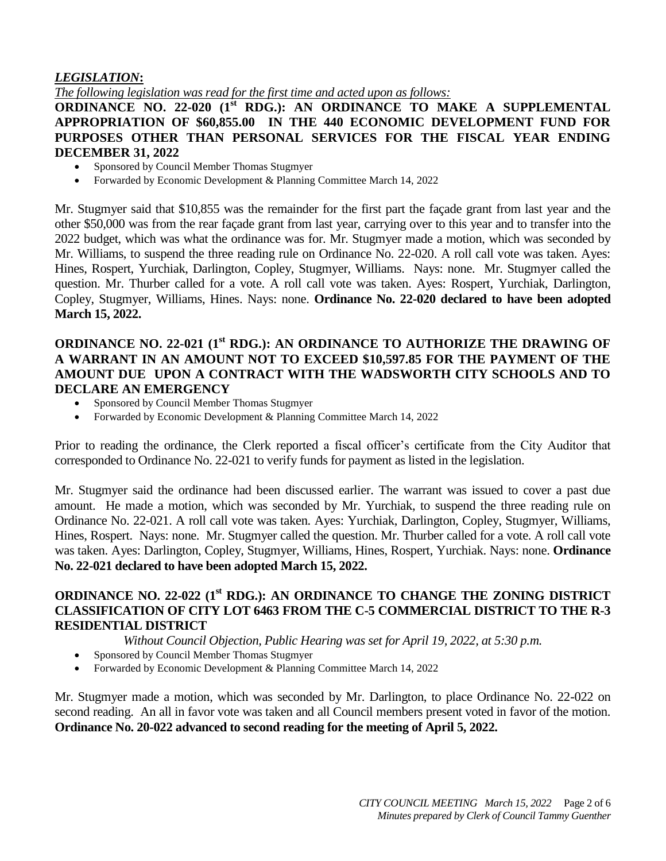#### *LEGISLATION***:**

*The following legislation was read for the first time and acted upon as follows:*

**ORDINANCE NO. 22-020 (1 st RDG.): AN ORDINANCE TO MAKE A SUPPLEMENTAL APPROPRIATION OF \$60,855.00 IN THE 440 ECONOMIC DEVELOPMENT FUND FOR PURPOSES OTHER THAN PERSONAL SERVICES FOR THE FISCAL YEAR ENDING DECEMBER 31, 2022** 

- Sponsored by Council Member Thomas Stugmyer
- Forwarded by Economic Development & Planning Committee March 14, 2022

Mr. Stugmyer said that \$10,855 was the remainder for the first part the façade grant from last year and the other \$50,000 was from the rear façade grant from last year, carrying over to this year and to transfer into the 2022 budget, which was what the ordinance was for. Mr. Stugmyer made a motion, which was seconded by Mr. Williams, to suspend the three reading rule on Ordinance No. 22-020. A roll call vote was taken. Ayes: Hines, Rospert, Yurchiak, Darlington, Copley, Stugmyer, Williams. Nays: none. Mr. Stugmyer called the question. Mr. Thurber called for a vote. A roll call vote was taken. Ayes: Rospert, Yurchiak, Darlington, Copley, Stugmyer, Williams, Hines. Nays: none. **Ordinance No. 22-020 declared to have been adopted March 15, 2022.**

### **ORDINANCE NO. 22-021 (1st RDG.): AN ORDINANCE TO AUTHORIZE THE DRAWING OF A WARRANT IN AN AMOUNT NOT TO EXCEED \$10,597.85 FOR THE PAYMENT OF THE AMOUNT DUE UPON A CONTRACT WITH THE WADSWORTH CITY SCHOOLS AND TO DECLARE AN EMERGENCY**

- Sponsored by Council Member Thomas Stugmyer
- Forwarded by Economic Development & Planning Committee March 14, 2022

Prior to reading the ordinance, the Clerk reported a fiscal officer's certificate from the City Auditor that corresponded to Ordinance No. 22-021 to verify funds for payment as listed in the legislation.

Mr. Stugmyer said the ordinance had been discussed earlier. The warrant was issued to cover a past due amount. He made a motion, which was seconded by Mr. Yurchiak, to suspend the three reading rule on Ordinance No. 22-021. A roll call vote was taken. Ayes: Yurchiak, Darlington, Copley, Stugmyer, Williams, Hines, Rospert. Nays: none. Mr. Stugmyer called the question. Mr. Thurber called for a vote. A roll call vote was taken. Ayes: Darlington, Copley, Stugmyer, Williams, Hines, Rospert, Yurchiak. Nays: none. **Ordinance No. 22-021 declared to have been adopted March 15, 2022.**

#### **ORDINANCE NO. 22-022 (1st RDG.): AN ORDINANCE TO CHANGE THE ZONING DISTRICT CLASSIFICATION OF CITY LOT 6463 FROM THE C-5 COMMERCIAL DISTRICT TO THE R-3 RESIDENTIAL DISTRICT**

*Without Council Objection, Public Hearing was set for April 19, 2022, at 5:30 p.m.*

- Sponsored by Council Member Thomas Stugmyer
- Forwarded by Economic Development & Planning Committee March 14, 2022

Mr. Stugmyer made a motion, which was seconded by Mr. Darlington, to place Ordinance No. 22-022 on second reading. An all in favor vote was taken and all Council members present voted in favor of the motion. **Ordinance No. 20-022 advanced to second reading for the meeting of April 5, 2022.**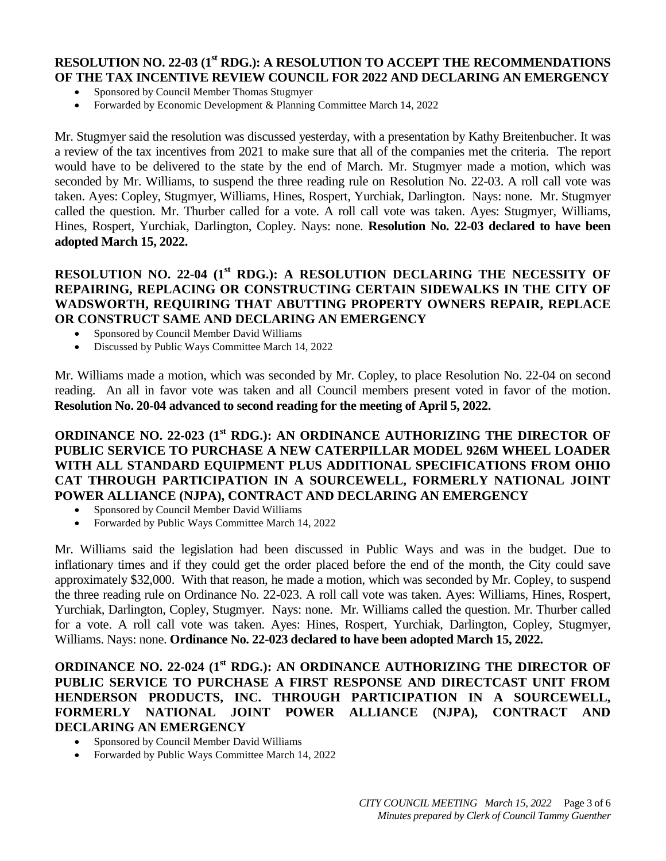#### **RESOLUTION NO. 22-03 (1st RDG.): A RESOLUTION TO ACCEPT THE RECOMMENDATIONS OF THE TAX INCENTIVE REVIEW COUNCIL FOR 2022 AND DECLARING AN EMERGENCY**

- Sponsored by Council Member Thomas Stugmyer
- Forwarded by Economic Development & Planning Committee March 14, 2022

Mr. Stugmyer said the resolution was discussed yesterday, with a presentation by Kathy Breitenbucher. It was a review of the tax incentives from 2021 to make sure that all of the companies met the criteria. The report would have to be delivered to the state by the end of March. Mr. Stugmyer made a motion, which was seconded by Mr. Williams, to suspend the three reading rule on Resolution No. 22-03. A roll call vote was taken. Ayes: Copley, Stugmyer, Williams, Hines, Rospert, Yurchiak, Darlington. Nays: none. Mr. Stugmyer called the question. Mr. Thurber called for a vote. A roll call vote was taken. Ayes: Stugmyer, Williams, Hines, Rospert, Yurchiak, Darlington, Copley. Nays: none. **Resolution No. 22-03 declared to have been adopted March 15, 2022.**

#### **RESOLUTION NO. 22-04 (1 st RDG.): A RESOLUTION DECLARING THE NECESSITY OF REPAIRING, REPLACING OR CONSTRUCTING CERTAIN SIDEWALKS IN THE CITY OF WADSWORTH, REQUIRING THAT ABUTTING PROPERTY OWNERS REPAIR, REPLACE OR CONSTRUCT SAME AND DECLARING AN EMERGENCY**

- Sponsored by Council Member David Williams
- Discussed by Public Ways Committee March 14, 2022

Mr. Williams made a motion, which was seconded by Mr. Copley, to place Resolution No. 22-04 on second reading. An all in favor vote was taken and all Council members present voted in favor of the motion. **Resolution No. 20-04 advanced to second reading for the meeting of April 5, 2022.**

#### **ORDINANCE NO. 22-023 (1st RDG.): AN ORDINANCE AUTHORIZING THE DIRECTOR OF PUBLIC SERVICE TO PURCHASE A NEW CATERPILLAR MODEL 926M WHEEL LOADER WITH ALL STANDARD EQUIPMENT PLUS ADDITIONAL SPECIFICATIONS FROM OHIO CAT THROUGH PARTICIPATION IN A SOURCEWELL, FORMERLY NATIONAL JOINT POWER ALLIANCE (NJPA), CONTRACT AND DECLARING AN EMERGENCY**

- Sponsored by Council Member David Williams
- Forwarded by Public Ways Committee March 14, 2022

Mr. Williams said the legislation had been discussed in Public Ways and was in the budget. Due to inflationary times and if they could get the order placed before the end of the month, the City could save approximately \$32,000. With that reason, he made a motion, which was seconded by Mr. Copley, to suspend the three reading rule on Ordinance No. 22-023. A roll call vote was taken. Ayes: Williams, Hines, Rospert, Yurchiak, Darlington, Copley, Stugmyer. Nays: none. Mr. Williams called the question. Mr. Thurber called for a vote. A roll call vote was taken. Ayes: Hines, Rospert, Yurchiak, Darlington, Copley, Stugmyer, Williams. Nays: none. **Ordinance No. 22-023 declared to have been adopted March 15, 2022.**

#### **ORDINANCE NO. 22-024 (1st RDG.): AN ORDINANCE AUTHORIZING THE DIRECTOR OF PUBLIC SERVICE TO PURCHASE A FIRST RESPONSE AND DIRECTCAST UNIT FROM HENDERSON PRODUCTS, INC. THROUGH PARTICIPATION IN A SOURCEWELL, FORMERLY NATIONAL JOINT POWER ALLIANCE (NJPA), CONTRACT AND DECLARING AN EMERGENCY**

- Sponsored by Council Member David Williams
- Forwarded by Public Ways Committee March 14, 2022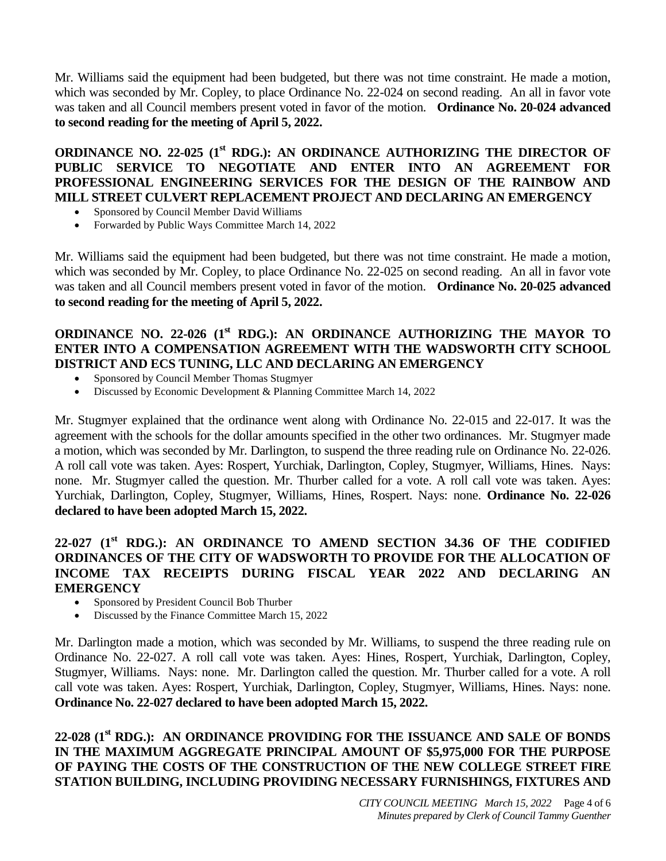Mr. Williams said the equipment had been budgeted, but there was not time constraint. He made a motion, which was seconded by Mr. Copley, to place Ordinance No. 22-024 on second reading. An all in favor vote was taken and all Council members present voted in favor of the motion. **Ordinance No. 20-024 advanced to second reading for the meeting of April 5, 2022.**

**ORDINANCE NO. 22-025 (1st RDG.): AN ORDINANCE AUTHORIZING THE DIRECTOR OF PUBLIC SERVICE TO NEGOTIATE AND ENTER INTO AN AGREEMENT FOR PROFESSIONAL ENGINEERING SERVICES FOR THE DESIGN OF THE RAINBOW AND MILL STREET CULVERT REPLACEMENT PROJECT AND DECLARING AN EMERGENCY** 

- Sponsored by Council Member David Williams
- Forwarded by Public Ways Committee March 14, 2022

Mr. Williams said the equipment had been budgeted, but there was not time constraint. He made a motion, which was seconded by Mr. Copley, to place Ordinance No. 22-025 on second reading. An all in favor vote was taken and all Council members present voted in favor of the motion. **Ordinance No. 20-025 advanced to second reading for the meeting of April 5, 2022.**

#### **ORDINANCE NO. 22-026 (1st RDG.): AN ORDINANCE AUTHORIZING THE MAYOR TO ENTER INTO A COMPENSATION AGREEMENT WITH THE WADSWORTH CITY SCHOOL DISTRICT AND ECS TUNING, LLC AND DECLARING AN EMERGENCY**

- Sponsored by Council Member Thomas Stugmyer
- Discussed by Economic Development & Planning Committee March 14, 2022

Mr. Stugmyer explained that the ordinance went along with Ordinance No. 22-015 and 22-017. It was the agreement with the schools for the dollar amounts specified in the other two ordinances. Mr. Stugmyer made a motion, which was seconded by Mr. Darlington, to suspend the three reading rule on Ordinance No. 22-026. A roll call vote was taken. Ayes: Rospert, Yurchiak, Darlington, Copley, Stugmyer, Williams, Hines. Nays: none. Mr. Stugmyer called the question. Mr. Thurber called for a vote. A roll call vote was taken. Ayes: Yurchiak, Darlington, Copley, Stugmyer, Williams, Hines, Rospert. Nays: none. **Ordinance No. 22-026 declared to have been adopted March 15, 2022.**

## **22-027 (1st RDG.): AN ORDINANCE TO AMEND SECTION 34.36 OF THE CODIFIED ORDINANCES OF THE CITY OF WADSWORTH TO PROVIDE FOR THE ALLOCATION OF INCOME TAX RECEIPTS DURING FISCAL YEAR 2022 AND DECLARING AN EMERGENCY**

- Sponsored by President Council Bob Thurber
- Discussed by the Finance Committee March 15, 2022

Mr. Darlington made a motion, which was seconded by Mr. Williams, to suspend the three reading rule on Ordinance No. 22-027. A roll call vote was taken. Ayes: Hines, Rospert, Yurchiak, Darlington, Copley, Stugmyer, Williams. Nays: none. Mr. Darlington called the question. Mr. Thurber called for a vote. A roll call vote was taken. Ayes: Rospert, Yurchiak, Darlington, Copley, Stugmyer, Williams, Hines. Nays: none. **Ordinance No. 22-027 declared to have been adopted March 15, 2022.**

**22-028 (1st RDG.): AN ORDINANCE PROVIDING FOR THE ISSUANCE AND SALE OF BONDS IN THE MAXIMUM AGGREGATE PRINCIPAL AMOUNT OF \$5,975,000 FOR THE PURPOSE OF PAYING THE COSTS OF THE CONSTRUCTION OF THE NEW COLLEGE STREET FIRE STATION BUILDING, INCLUDING PROVIDING NECESSARY FURNISHINGS, FIXTURES AND**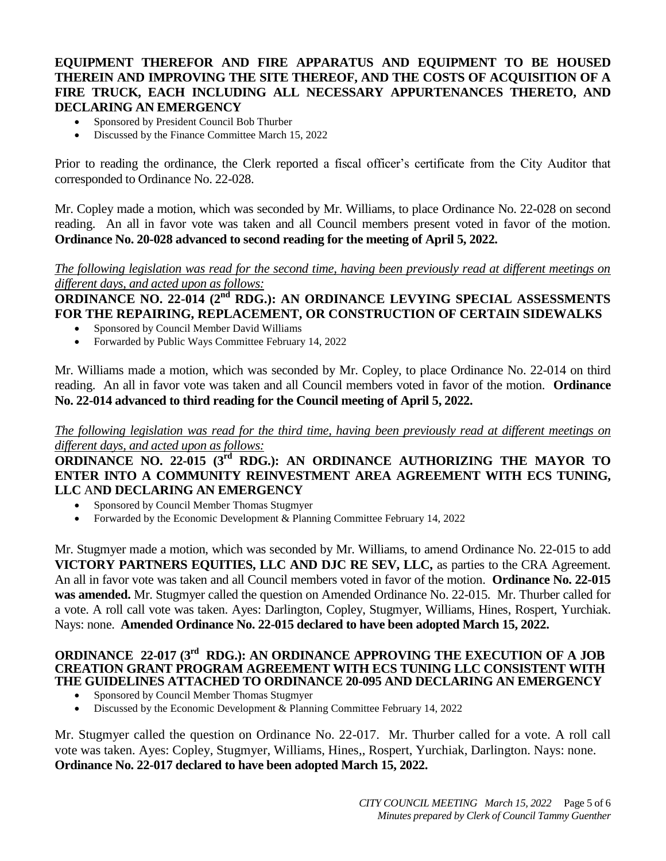#### **EQUIPMENT THEREFOR AND FIRE APPARATUS AND EQUIPMENT TO BE HOUSED THEREIN AND IMPROVING THE SITE THEREOF, AND THE COSTS OF ACQUISITION OF A FIRE TRUCK, EACH INCLUDING ALL NECESSARY APPURTENANCES THERETO, AND DECLARING AN EMERGENCY**

- Sponsored by President Council Bob Thurber
- Discussed by the Finance Committee March 15, 2022

Prior to reading the ordinance, the Clerk reported a fiscal officer's certificate from the City Auditor that corresponded to Ordinance No. 22-028.

Mr. Copley made a motion, which was seconded by Mr. Williams, to place Ordinance No. 22-028 on second reading. An all in favor vote was taken and all Council members present voted in favor of the motion. **Ordinance No. 20-028 advanced to second reading for the meeting of April 5, 2022.**

*The following legislation was read for the second time, having been previously read at different meetings on different days, and acted upon as follows:* 

**ORDINANCE NO. 22-014 (2<sup>nd</sup> RDG.): AN ORDINANCE LEVYING SPECIAL ASSESSMENTS FOR THE REPAIRING, REPLACEMENT, OR CONSTRUCTION OF CERTAIN SIDEWALKS** 

- Sponsored by Council Member David Williams
- Forwarded by Public Ways Committee February 14, 2022

Mr. Williams made a motion, which was seconded by Mr. Copley, to place Ordinance No. 22-014 on third reading. An all in favor vote was taken and all Council members voted in favor of the motion. **Ordinance No. 22-014 advanced to third reading for the Council meeting of April 5, 2022.**

*The following legislation was read for the third time, having been previously read at different meetings on different days, and acted upon as follows:* 

## **ORDINANCE NO. 22-015 (3<sup>rd</sup> RDG.): AN ORDINANCE AUTHORIZING THE MAYOR TO ENTER INTO A COMMUNITY REINVESTMENT AREA AGREEMENT WITH ECS TUNING, LLC** A**ND DECLARING AN EMERGENCY**

- Sponsored by Council Member Thomas Stugmyer
- Forwarded by the Economic Development & Planning Committee February 14, 2022

Mr. Stugmyer made a motion, which was seconded by Mr. Williams, to amend Ordinance No. 22-015 to add **VICTORY PARTNERS EQUITIES, LLC AND DJC RE SEV, LLC,** as parties to the CRA Agreement. An all in favor vote was taken and all Council members voted in favor of the motion. **Ordinance No. 22-015 was amended.** Mr. Stugmyer called the question on Amended Ordinance No. 22-015. Mr. Thurber called for a vote. A roll call vote was taken. Ayes: Darlington, Copley, Stugmyer, Williams, Hines, Rospert, Yurchiak. Nays: none. **Amended Ordinance No. 22-015 declared to have been adopted March 15, 2022.**

#### **ORDINANCE 22-017 (3<sup>rd</sup> RDG.): AN ORDINANCE APPROVING THE EXECUTION OF A JOB CREATION GRANT PROGRAM AGREEMENT WITH ECS TUNING LLC CONSISTENT WITH THE GUIDELINES ATTACHED TO ORDINANCE 20-095 AND DECLARING AN EMERGENCY**

- Sponsored by Council Member Thomas Stugmyer
- Discussed by the Economic Development & Planning Committee February 14, 2022

Mr. Stugmyer called the question on Ordinance No. 22-017. Mr. Thurber called for a vote. A roll call vote was taken. Ayes: Copley, Stugmyer, Williams, Hines,, Rospert, Yurchiak, Darlington. Nays: none. **Ordinance No. 22-017 declared to have been adopted March 15, 2022.**